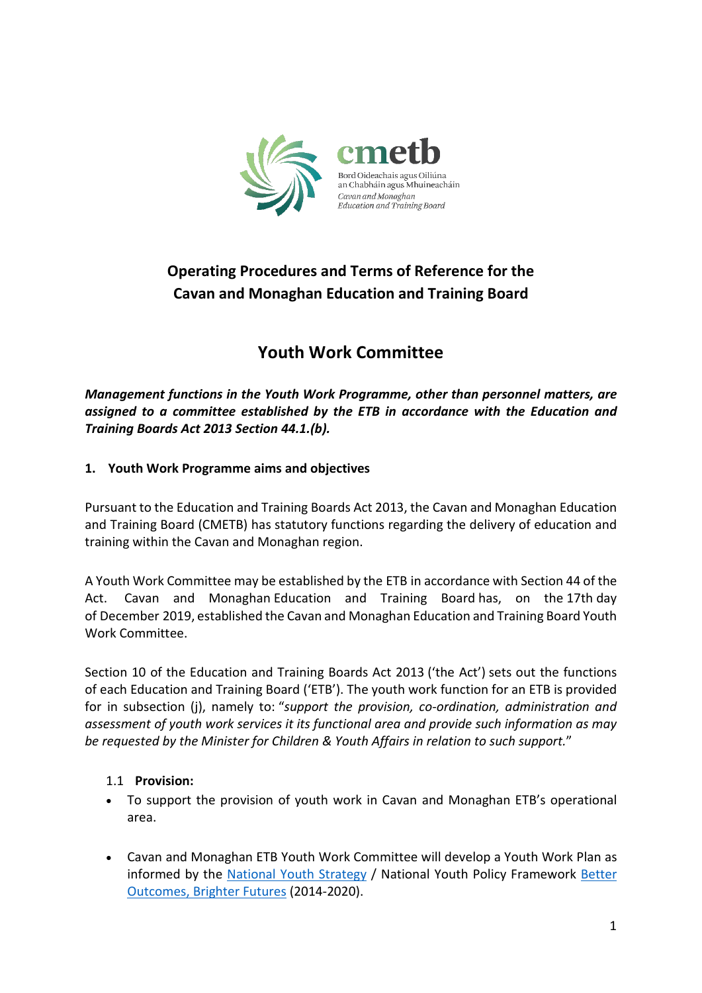

# **Operating Procedures and Terms of Reference for the Cavan and Monaghan Education and Training Board**

# **Youth Work Committee**

*Management functions in the Youth Work Programme, other than personnel matters, are assigned to a committee established by the ETB in accordance with the Education and Training Boards Act 2013 Section 44.1.(b).* 

# **1. Youth Work Programme aims and objectives**

Pursuant to the Education and Training Boards Act 2013, the Cavan and Monaghan Education and Training Board (CMETB) has statutory functions regarding the delivery of education and training within the Cavan and Monaghan region.

A Youth Work Committee may be established by the ETB in accordance with Section 44 of the Act. Cavan and Monaghan Education and Training Board has, on the 17th day of December 2019, established the Cavan and Monaghan Education and Training Board Youth Work Committee.

Section 10 of the Education and Training Boards Act 2013 ('the Act') sets out the functions of each Education and Training Board ('ETB'). The youth work function for an ETB is provided for in subsection (j), namely to: "*support the provision, co-ordination, administration and assessment of youth work services it its functional area and provide such information as may be requested by the Minister for Children & Youth Affairs in relation to such support.*"

### 1.1 **Provision:**

- To support the provision of youth work in Cavan and Monaghan ETB's operational area.
- Cavan and Monaghan ETB Youth Work Committee will develop a Youth Work Plan as informed by the [National Youth Strategy](http://www.dcya.gov.ie/documents/publications/20151008NatYouthStrat2015to2020.pdf) / National Youth Policy Framework [Better](http://www.dcya.gov.ie/viewdoc.asp?fn=/documents/cypp_framework/BetterOutcomesBetterFutureReport.pdf)  [Outcomes, Brighter Futures](http://www.dcya.gov.ie/viewdoc.asp?fn=/documents/cypp_framework/BetterOutcomesBetterFutureReport.pdf) (2014-2020).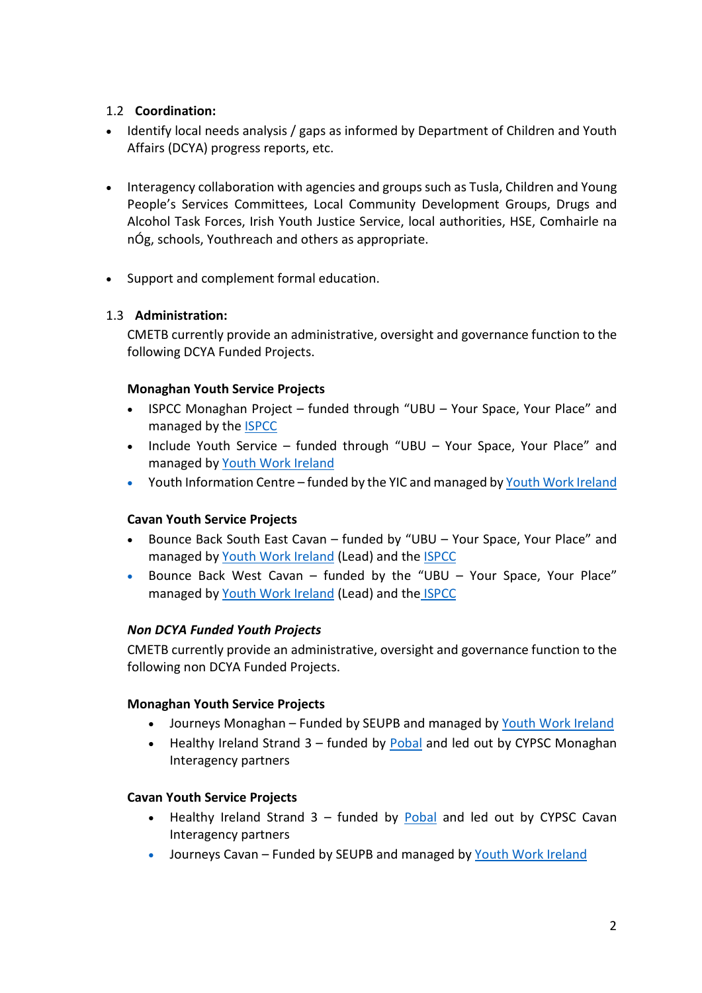# 1.2 **Coordination:**

- Identify local needs analysis / gaps as informed by Department of Children and Youth Affairs (DCYA) progress reports, etc.
- Interagency collaboration with agencies and groups such as Tusla, Children and Young People's Services Committees, Local Community Development Groups, Drugs and Alcohol Task Forces, Irish Youth Justice Service, local authorities, HSE, Comhairle na nÓg, schools, Youthreach and others as appropriate.
- Support and complement formal education.

### 1.3 **Administration:**

CMETB currently provide an administrative, oversight and governance function to the following DCYA Funded Projects.

### **Monaghan Youth Service Projects**

- ISPCC Monaghan Project funded through "UBU Your Space, Your Place" and managed by the [ISPCC](http://www.ispcc.ie/)
- Include Youth Service funded through "UBU Your Space, Your Place" and managed by [Youth Work Ireland](http://www.youthworkireland.ie/)
- Youth Information Centre funded by the YIC and managed by [Youth Work Ireland](http://www.youthworkireland.ie/)

### **Cavan Youth Service Projects**

- Bounce Back South East Cavan funded by "UBU Your Space, Your Place" and managed by [Youth Work Ireland](http://www.youthworkireland.ie/) (Lead) and the [ISPCC](http://www.ispcc.ie/)
- Bounce Back West Cavan funded by the "UBU Your Space, Your Place" managed by [Youth Work Ireland](http://www.youthworkireland.ie/) (Lead) and the [ISPCC](http://www.ispcc.ie/)

### *Non DCYA Funded Youth Projects*

CMETB currently provide an administrative, oversight and governance function to the following non DCYA Funded Projects.

### **Monaghan Youth Service Projects**

- Journeys Monaghan Funded by SEUPB and managed b[y Youth Work Ireland](http://www.youthworkireland.ie/)
- Healthy Ireland Strand  $3$  funded by [Pobal](http://www.pobal.ie/) and led out by CYPSC Monaghan Interagency partners

### **Cavan Youth Service Projects**

- Healthy Ireland Strand  $3$  funded by [Pobal](http://www.pobal.ie/) and led out by CYPSC Cavan Interagency partners
- Journeys Cavan Funded by SEUPB and managed b[y Youth Work Ireland](http://www.youthworkireland.ie/)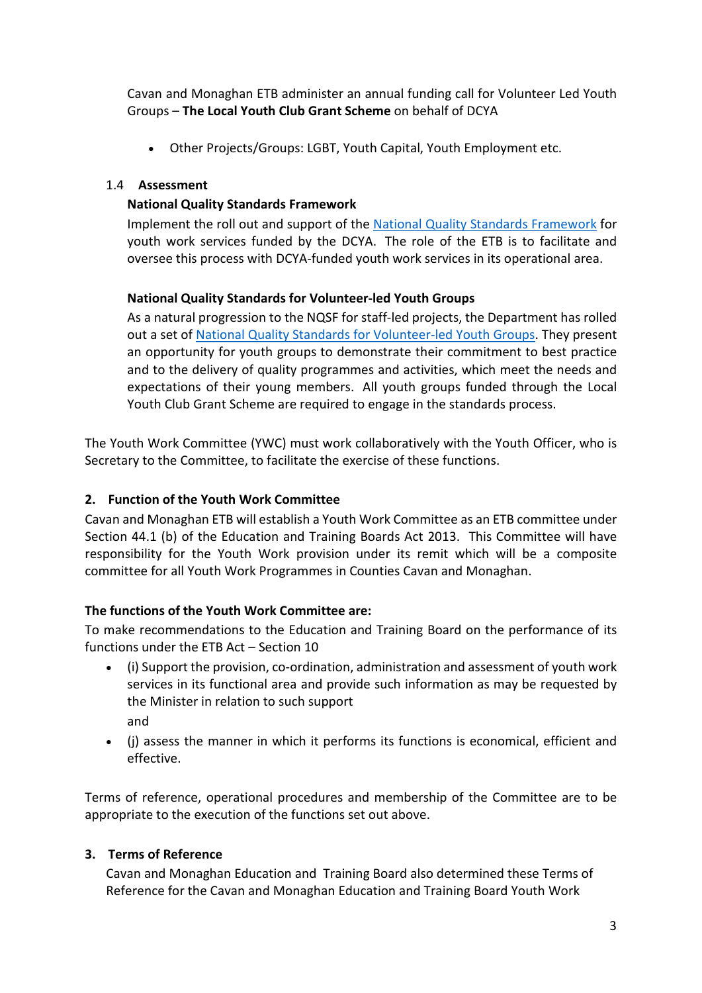Cavan and Monaghan ETB administer an annual funding call for Volunteer Led Youth Groups – **The Local Youth Club Grant Scheme** on behalf of DCYA

• Other Projects/Groups: LGBT, Youth Capital, Youth Employment etc.

## 1.4 **Assessment**

### **National Quality Standards Framework**

Implement the roll out and support of the [National Quality Standards Framework](http://www.dcya.gov.ie/viewdoc.asp?fn=%2Fdocuments%2Fyouthaffairs%2Fqualityframework.htm&mn=youm&nID=3) for youth work services funded by the DCYA. The role of the ETB is to facilitate and oversee this process with DCYA-funded youth work services in its operational area.

# **National Quality Standards for Volunteer-led Youth Groups**

As a natural progression to the NQSF for staff-led projects, the Department has rolled out a set of [National Quality Standards for Volunteer-led Youth Groups.](http://www.dcya.gov.ie/viewdoc.asp?fn=%2Fdocuments%2Fyouthaffairs%2Fqualityframework.htm&mn=youm&nID=3) They present an opportunity for youth groups to demonstrate their commitment to best practice and to the delivery of quality programmes and activities, which meet the needs and expectations of their young members. All youth groups funded through the Local Youth Club Grant Scheme are required to engage in the standards process.

The Youth Work Committee (YWC) must work collaboratively with the Youth Officer, who is Secretary to the Committee, to facilitate the exercise of these functions.

### **2. Function of the Youth Work Committee**

Cavan and Monaghan ETB will establish a Youth Work Committee as an ETB committee under Section 44.1 (b) of the Education and Training Boards Act 2013. This Committee will have responsibility for the Youth Work provision under its remit which will be a composite committee for all Youth Work Programmes in Counties Cavan and Monaghan.

### **The functions of the Youth Work Committee are:**

To make recommendations to the Education and Training Board on the performance of its functions under the ETB Act – Section 10

- (i) Support the provision, co-ordination, administration and assessment of youth work services in its functional area and provide such information as may be requested by the Minister in relation to such support and
- (j) assess the manner in which it performs its functions is economical, efficient and effective.

Terms of reference, operational procedures and membership of the Committee are to be appropriate to the execution of the functions set out above.

### **3. Terms of Reference**

Cavan and Monaghan Education and Training Board also determined these Terms of Reference for the Cavan and Monaghan Education and Training Board Youth Work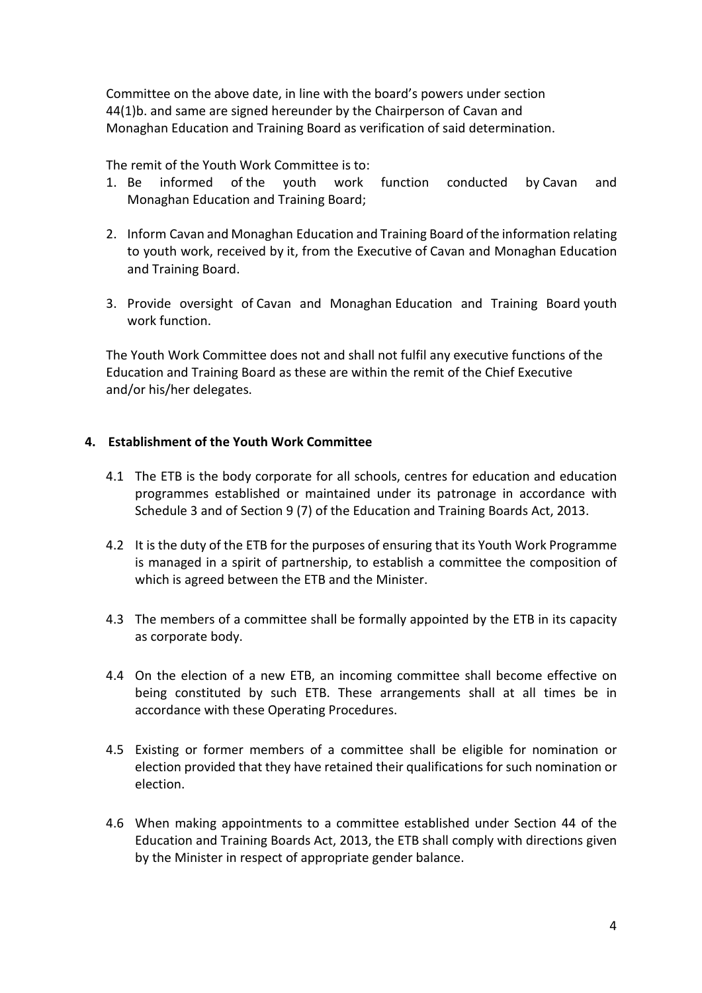Committee on the above date, in line with the board's powers under section 44(1)b. and same are signed hereunder by the Chairperson of Cavan and Monaghan Education and Training Board as verification of said determination.

The remit of the Youth Work Committee is to:

- 1. Be informed of the youth work function conducted by Cavan and Monaghan Education and Training Board;
- 2. Inform Cavan and Monaghan Education and Training Board of the information relating to youth work, received by it, from the Executive of Cavan and Monaghan Education and Training Board.
- 3. Provide oversight of Cavan and Monaghan Education and Training Board youth work function.

The Youth Work Committee does not and shall not fulfil any executive functions of the Education and Training Board as these are within the remit of the Chief Executive and/or his/her delegates.

### **4. Establishment of the Youth Work Committee**

- 4.1 The ETB is the body corporate for all schools, centres for education and education programmes established or maintained under its patronage in accordance with Schedule 3 and of Section 9 (7) of the Education and Training Boards Act, 2013.
- 4.2 It is the duty of the ETB for the purposes of ensuring that its Youth Work Programme is managed in a spirit of partnership, to establish a committee the composition of which is agreed between the ETB and the Minister.
- 4.3 The members of a committee shall be formally appointed by the ETB in its capacity as corporate body.
- 4.4 On the election of a new ETB, an incoming committee shall become effective on being constituted by such ETB. These arrangements shall at all times be in accordance with these Operating Procedures.
- 4.5 Existing or former members of a committee shall be eligible for nomination or election provided that they have retained their qualifications for such nomination or election.
- 4.6 When making appointments to a committee established under Section 44 of the Education and Training Boards Act, 2013, the ETB shall comply with directions given by the Minister in respect of appropriate gender balance.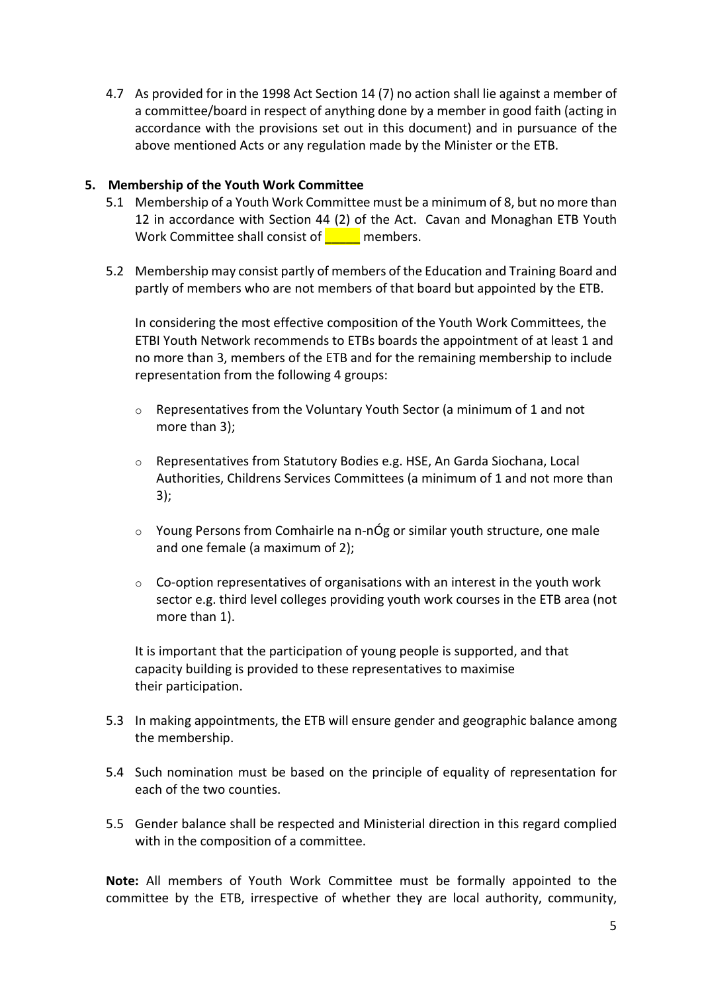4.7 As provided for in the 1998 Act Section 14 (7) no action shall lie against a member of a committee/board in respect of anything done by a member in good faith (acting in accordance with the provisions set out in this document) and in pursuance of the above mentioned Acts or any regulation made by the Minister or the ETB.

#### **5. Membership of the Youth Work Committee**

- 5.1 Membership of a Youth Work Committee must be a minimum of 8, but no more than 12 in accordance with Section 44 (2) of the Act. Cavan and Monaghan ETB Youth Work Committee shall consist of **with all and members.**
- 5.2 Membership may consist partly of members of the Education and Training Board and partly of members who are not members of that board but appointed by the ETB.

In considering the most effective composition of the Youth Work Committees, the ETBI Youth Network recommends to ETBs boards the appointment of at least 1 and no more than 3, members of the ETB and for the remaining membership to include representation from the following 4 groups:

- $\circ$  Representatives from the Voluntary Youth Sector (a minimum of 1 and not more than 3);
- o Representatives from Statutory Bodies e.g. HSE, An Garda Siochana, Local Authorities, Childrens Services Committees (a minimum of 1 and not more than 3);
- o Young Persons from Comhairle na n-nÓg or similar youth structure, one male and one female (a maximum of 2);
- $\circ$  Co-option representatives of organisations with an interest in the youth work sector e.g. third level colleges providing youth work courses in the ETB area (not more than 1).

It is important that the participation of young people is supported, and that capacity building is provided to these representatives to maximise their participation.

- 5.3 In making appointments, the ETB will ensure gender and geographic balance among the membership.
- 5.4 Such nomination must be based on the principle of equality of representation for each of the two counties.
- 5.5 Gender balance shall be respected and Ministerial direction in this regard complied with in the composition of a committee.

**Note:** All members of Youth Work Committee must be formally appointed to the committee by the ETB, irrespective of whether they are local authority, community,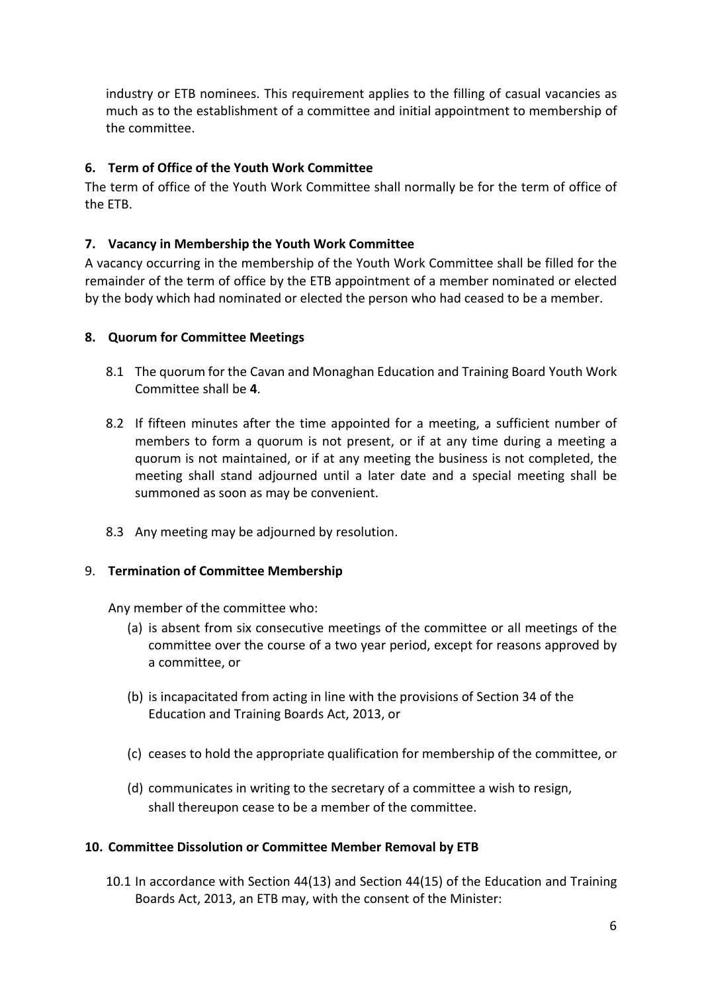industry or ETB nominees. This requirement applies to the filling of casual vacancies as much as to the establishment of a committee and initial appointment to membership of the committee.

# **6. Term of Office of the Youth Work Committee**

The term of office of the Youth Work Committee shall normally be for the term of office of the ETB.

# **7. Vacancy in Membership the Youth Work Committee**

A vacancy occurring in the membership of the Youth Work Committee shall be filled for the remainder of the term of office by the ETB appointment of a member nominated or elected by the body which had nominated or elected the person who had ceased to be a member.

### **8. Quorum for Committee Meetings**

- 8.1 The quorum for the Cavan and Monaghan Education and Training Board Youth Work Committee shall be **4**.
- 8.2 If fifteen minutes after the time appointed for a meeting, a sufficient number of members to form a quorum is not present, or if at any time during a meeting a quorum is not maintained, or if at any meeting the business is not completed, the meeting shall stand adjourned until a later date and a special meeting shall be summoned as soon as may be convenient.
- 8.3 Any meeting may be adjourned by resolution.

### 9. **Termination of Committee Membership**

Any member of the committee who:

- (a) is absent from six consecutive meetings of the committee or all meetings of the committee over the course of a two year period, except for reasons approved by a committee, or
- (b) is incapacitated from acting in line with the provisions of Section 34 of the Education and Training Boards Act, 2013, or
- (c) ceases to hold the appropriate qualification for membership of the committee, or
- (d) communicates in writing to the secretary of a committee a wish to resign, shall thereupon cease to be a member of the committee.

### **10. Committee Dissolution or Committee Member Removal by ETB**

10.1 In accordance with Section 44(13) and Section 44(15) of the Education and Training Boards Act, 2013, an ETB may, with the consent of the Minister: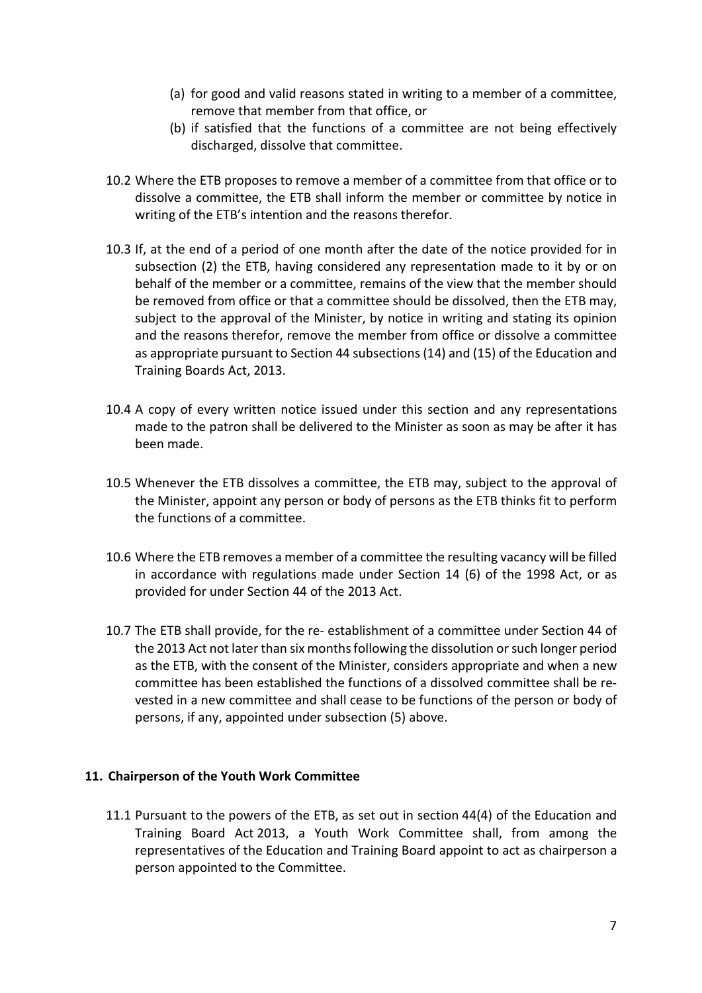- (a) for good and valid reasons stated in writing to a member of a committee, remove that member from that office, or
- (b) if satisfied that the functions of a committee are not being effectively discharged, dissolve that committee.
- 10.2 Where the ETB proposes to remove a member of a committee from that office or to dissolve a committee, the ETB shall inform the member or committee by notice in writing of the ETB's intention and the reasons therefor.
- 10.3 If, at the end of a period of one month after the date of the notice provided for in subsection (2) the ETB, having considered any representation made to it by or on behalf of the member or a committee, remains of the view that the member should be removed from office or that a committee should be dissolved, then the ETB may, subject to the approval of the Minister, by notice in writing and stating its opinion and the reasons therefor, remove the member from office or dissolve a committee as appropriate pursuant to Section 44 subsections (14) and (15) of the Education and Training Boards Act, 2013.
- 10.4 A copy of every written notice issued under this section and any representations made to the patron shall be delivered to the Minister as soon as may be after it has been made.
- 10.5 Whenever the ETB dissolves a committee, the ETB may, subject to the approval of the Minister, appoint any person or body of persons as the ETB thinks fit to perform the functions of a committee.
- 10.6 Where the ETB removes a member of a committee the resulting vacancy will be filled in accordance with regulations made under Section 14 (6) of the 1998 Act, or as provided for under Section 44 of the 2013 Act.
- 10.7 The ETB shall provide, for the re- establishment of a committee under Section 44 of the 2013 Act not later than six months following the dissolution or such longer period as the ETB, with the consent of the Minister, considers appropriate and when a new committee has been established the functions of a dissolved committee shall be revested in a new committee and shall cease to be functions of the person or body of persons, if any, appointed under subsection (5) above.

#### **11. Chairperson of the Youth Work Committee**

11.1 Pursuant to the powers of the ETB, as set out in section 44(4) of the Education and Training Board Act 2013, a Youth Work Committee shall, from among the representatives of the Education and Training Board appoint to act as chairperson a person appointed to the Committee.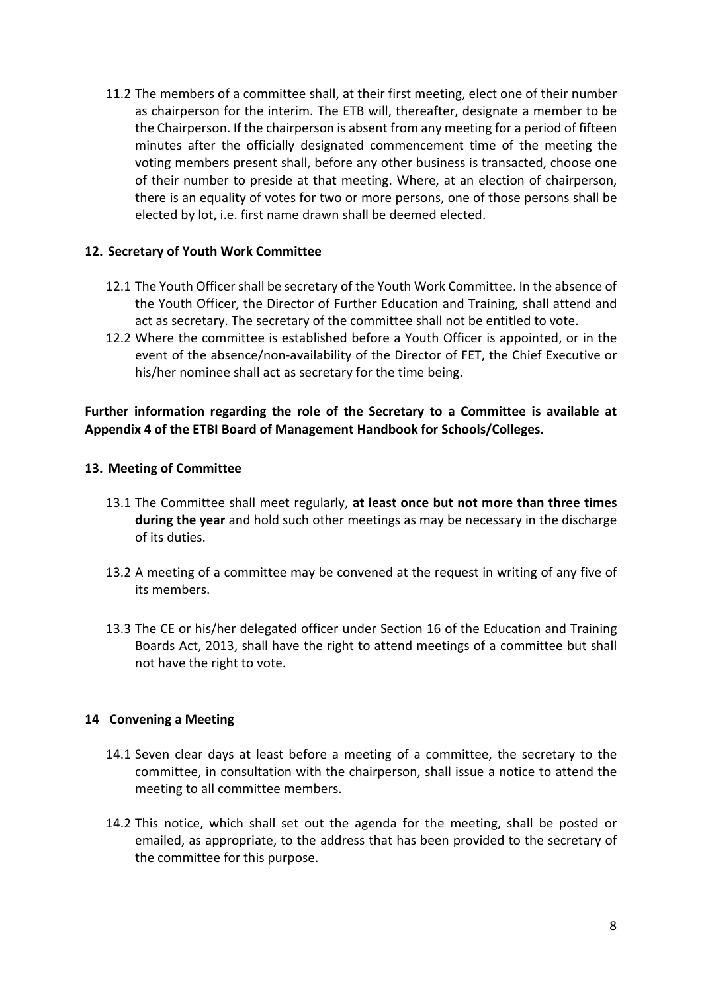11.2 The members of a committee shall, at their first meeting, elect one of their number as chairperson for the interim. The ETB will, thereafter, designate a member to be the Chairperson. If the chairperson is absent from any meeting for a period of fifteen minutes after the officially designated commencement time of the meeting the voting members present shall, before any other business is transacted, choose one of their number to preside at that meeting. Where, at an election of chairperson, there is an equality of votes for two or more persons, one of those persons shall be elected by lot, i.e. first name drawn shall be deemed elected.

#### **12. Secretary of Youth Work Committee**

- 12.1 The Youth Officer shall be secretary of the Youth Work Committee. In the absence of the Youth Officer, the Director of Further Education and Training, shall attend and act as secretary. The secretary of the committee shall not be entitled to vote.
- 12.2 Where the committee is established before a Youth Officer is appointed, or in the event of the absence/non-availability of the Director of FET, the Chief Executive or his/her nominee shall act as secretary for the time being.

#### **Further information regarding the role of the Secretary to a Committee is available at Appendix 4 of the ETBI Board of Management Handbook for Schools/Colleges.**

#### **13. Meeting of Committee**

- 13.1 The Committee shall meet regularly, **at least once but not more than three times during the year** and hold such other meetings as may be necessary in the discharge of its duties.
- 13.2 A meeting of a committee may be convened at the request in writing of any five of its members.
- 13.3 The CE or his/her delegated officer under Section 16 of the Education and Training Boards Act, 2013, shall have the right to attend meetings of a committee but shall not have the right to vote.

#### **14 Convening a Meeting**

- 14.1 Seven clear days at least before a meeting of a committee, the secretary to the committee, in consultation with the chairperson, shall issue a notice to attend the meeting to all committee members.
- 14.2 This notice, which shall set out the agenda for the meeting, shall be posted or emailed, as appropriate, to the address that has been provided to the secretary of the committee for this purpose.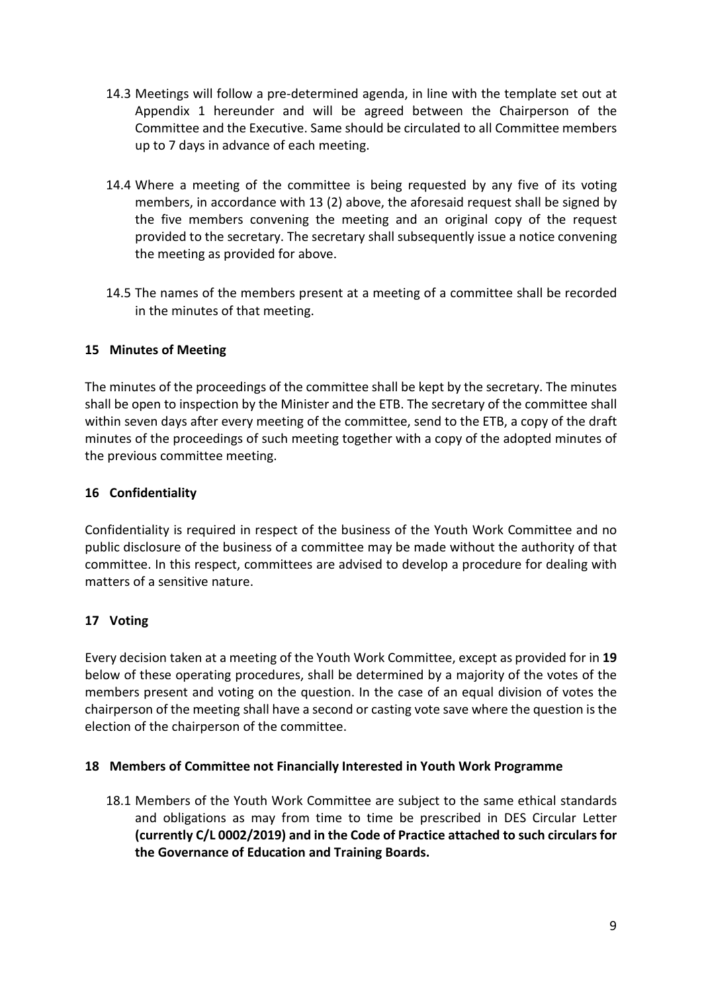- 14.3 Meetings will follow a pre-determined agenda, in line with the template set out at Appendix 1 hereunder and will be agreed between the Chairperson of the Committee and the Executive. Same should be circulated to all Committee members up to 7 days in advance of each meeting.
- 14.4 Where a meeting of the committee is being requested by any five of its voting members, in accordance with 13 (2) above, the aforesaid request shall be signed by the five members convening the meeting and an original copy of the request provided to the secretary. The secretary shall subsequently issue a notice convening the meeting as provided for above.
- 14.5 The names of the members present at a meeting of a committee shall be recorded in the minutes of that meeting.

# **15 Minutes of Meeting**

The minutes of the proceedings of the committee shall be kept by the secretary. The minutes shall be open to inspection by the Minister and the ETB. The secretary of the committee shall within seven days after every meeting of the committee, send to the ETB, a copy of the draft minutes of the proceedings of such meeting together with a copy of the adopted minutes of the previous committee meeting.

## **16 Confidentiality**

Confidentiality is required in respect of the business of the Youth Work Committee and no public disclosure of the business of a committee may be made without the authority of that committee. In this respect, committees are advised to develop a procedure for dealing with matters of a sensitive nature.

# **17 Voting**

Every decision taken at a meeting of the Youth Work Committee, except as provided for in **19** below of these operating procedures, shall be determined by a majority of the votes of the members present and voting on the question. In the case of an equal division of votes the chairperson of the meeting shall have a second or casting vote save where the question is the election of the chairperson of the committee.

### **18 Members of Committee not Financially Interested in Youth Work Programme**

18.1 Members of the Youth Work Committee are subject to the same ethical standards and obligations as may from time to time be prescribed in DES Circular Letter **(currently C/L 0002/2019) and in the Code of Practice attached to such circulars for the Governance of Education and Training Boards.**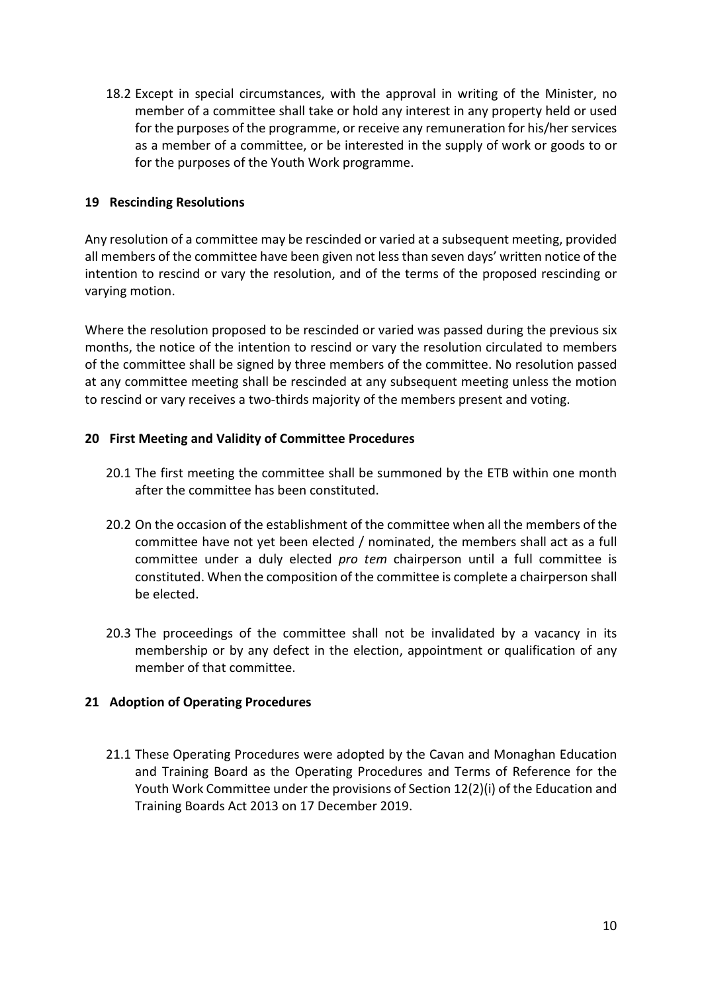18.2 Except in special circumstances, with the approval in writing of the Minister, no member of a committee shall take or hold any interest in any property held or used for the purposes of the programme, or receive any remuneration for his/her services as a member of a committee, or be interested in the supply of work or goods to or for the purposes of the Youth Work programme.

#### **19 Rescinding Resolutions**

Any resolution of a committee may be rescinded or varied at a subsequent meeting, provided all members of the committee have been given not less than seven days' written notice of the intention to rescind or vary the resolution, and of the terms of the proposed rescinding or varying motion.

Where the resolution proposed to be rescinded or varied was passed during the previous six months, the notice of the intention to rescind or vary the resolution circulated to members of the committee shall be signed by three members of the committee. No resolution passed at any committee meeting shall be rescinded at any subsequent meeting unless the motion to rescind or vary receives a two-thirds majority of the members present and voting.

#### **20 First Meeting and Validity of Committee Procedures**

- 20.1 The first meeting the committee shall be summoned by the ETB within one month after the committee has been constituted.
- 20.2 On the occasion of the establishment of the committee when all the members of the committee have not yet been elected / nominated, the members shall act as a full committee under a duly elected *pro tem* chairperson until a full committee is constituted. When the composition of the committee is complete a chairperson shall be elected.
- 20.3 The proceedings of the committee shall not be invalidated by a vacancy in its membership or by any defect in the election, appointment or qualification of any member of that committee.

### **21 Adoption of Operating Procedures**

21.1 These Operating Procedures were adopted by the Cavan and Monaghan Education and Training Board as the Operating Procedures and Terms of Reference for the Youth Work Committee under the provisions of Section 12(2)(i) of the Education and Training Boards Act 2013 on 17 December 2019.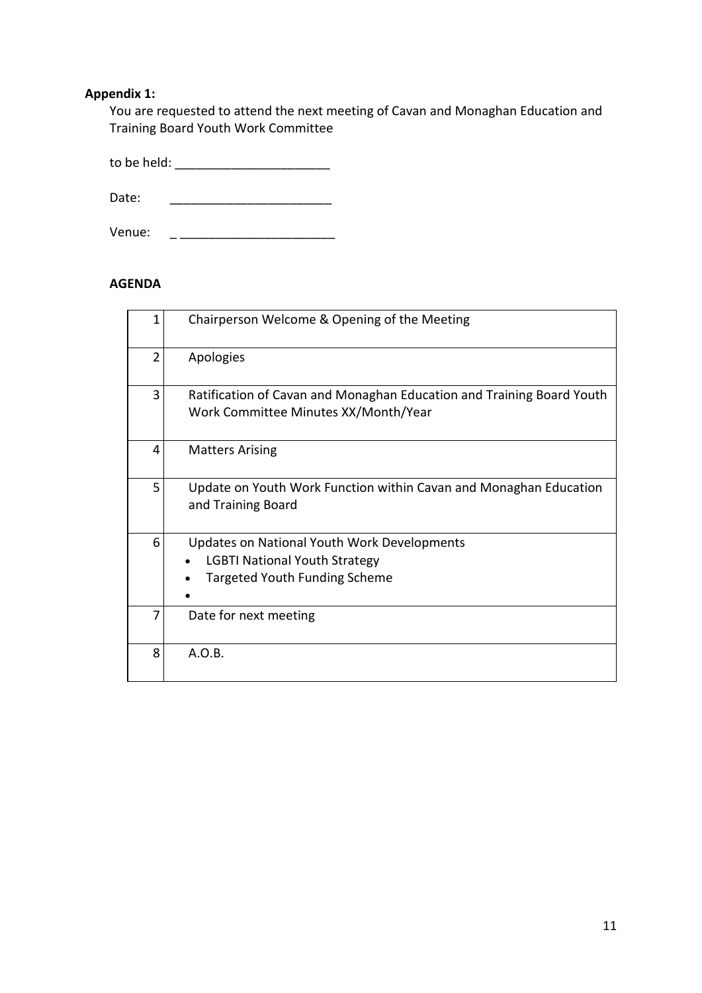# **Appendix 1:**

You are requested to attend the next meeting of Cavan and Monaghan Education and Training Board Youth Work Committee

to be held: \_\_\_\_\_\_\_\_\_\_\_\_\_\_\_\_\_\_\_\_\_\_

Date:  $\Box$ 

Venue: \_ \_\_\_\_\_\_\_\_\_\_\_\_\_\_\_\_\_\_\_\_\_\_

### **AGENDA**

|                | Chairperson Welcome & Opening of the Meeting                                                                                       |
|----------------|------------------------------------------------------------------------------------------------------------------------------------|
| $\overline{2}$ | Apologies                                                                                                                          |
| 3              | Ratification of Cavan and Monaghan Education and Training Board Youth<br>Work Committee Minutes XX/Month/Year                      |
| 4              | <b>Matters Arising</b>                                                                                                             |
| 5              | Update on Youth Work Function within Cavan and Monaghan Education<br>and Training Board                                            |
| 6              | <b>Updates on National Youth Work Developments</b><br><b>LGBTI National Youth Strategy</b><br><b>Targeted Youth Funding Scheme</b> |
| 7              | Date for next meeting                                                                                                              |
| 8              | A.O.B.                                                                                                                             |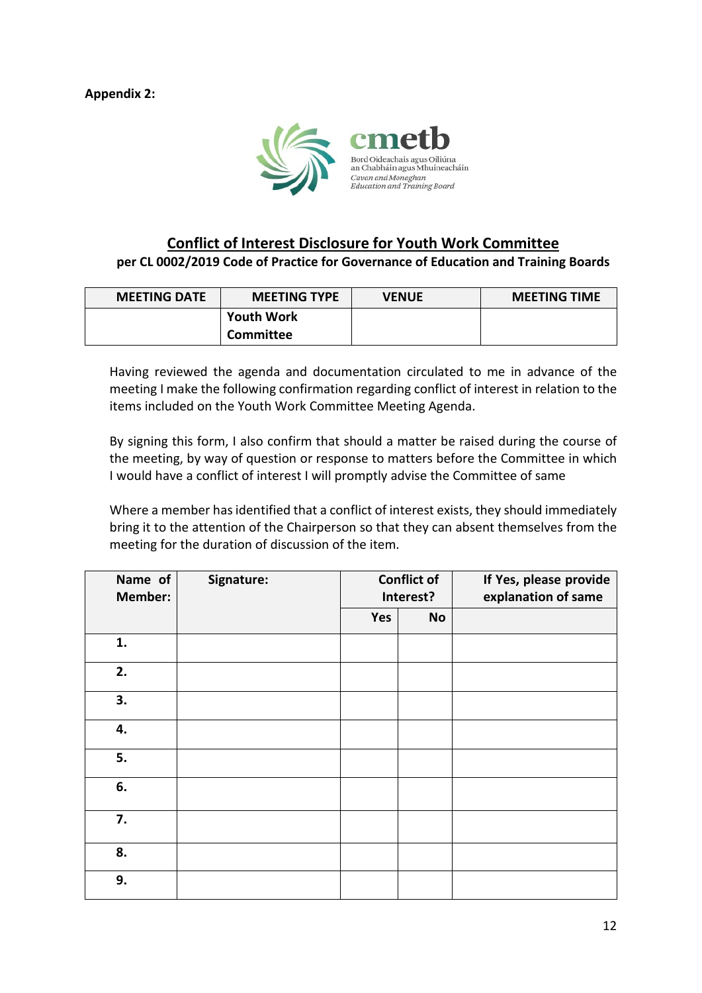**Appendix 2:**



# **Conflict of Interest Disclosure for Youth Work Committee**

**per CL 0002/2019 Code of Practice for Governance of Education and Training Boards**

| <b>MEETING DATE</b> | <b>MEETING TYPE</b> | <b>VENUE</b> | <b>MEETING TIME</b> |  |
|---------------------|---------------------|--------------|---------------------|--|
|                     | <b>Youth Work</b>   |              |                     |  |
|                     | Committee           |              |                     |  |

Having reviewed the agenda and documentation circulated to me in advance of the meeting I make the following confirmation regarding conflict of interest in relation to the items included on the Youth Work Committee Meeting Agenda.

By signing this form, I also confirm that should a matter be raised during the course of the meeting, by way of question or response to matters before the Committee in which I would have a conflict of interest I will promptly advise the Committee of same

Where a member has identified that a conflict of interest exists, they should immediately bring it to the attention of the Chairperson so that they can absent themselves from the meeting for the duration of discussion of the item.

| Name of<br><b>Member:</b> | Signature: | <b>Conflict of</b><br>Interest? |           | If Yes, please provide<br>explanation of same |
|---------------------------|------------|---------------------------------|-----------|-----------------------------------------------|
|                           |            | Yes                             | <b>No</b> |                                               |
| 1.                        |            |                                 |           |                                               |
| 2.                        |            |                                 |           |                                               |
| 3.                        |            |                                 |           |                                               |
| 4.                        |            |                                 |           |                                               |
| 5.                        |            |                                 |           |                                               |
| 6.                        |            |                                 |           |                                               |
| 7.                        |            |                                 |           |                                               |
| 8.                        |            |                                 |           |                                               |
| 9.                        |            |                                 |           |                                               |